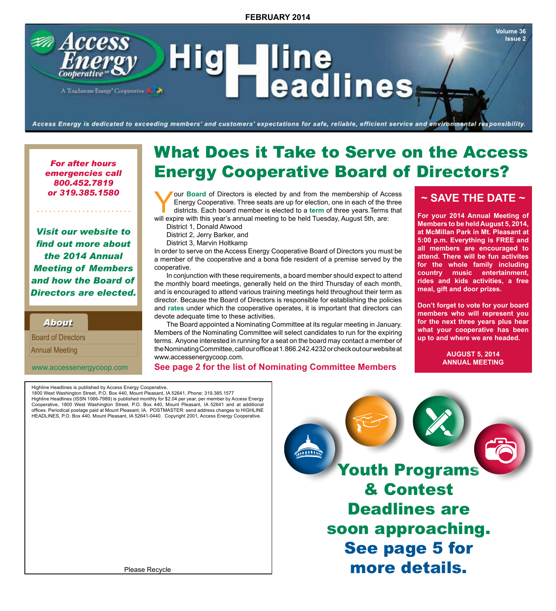Access - line<br>Teadlines HIGH A Touchstone Energy Cooperative

Access Energy is dedicated to exceeding members' and customers' expectations for safe, reliable, efficient service and environmental responsibility.

*For after hours emergencies call 800.452.7819 or 319.385.1580*

. . . . . . . . . . . . . . . .

*Visit our website to find out more about the 2014 Annual Meeting of Members and how the Board of Directors are elected.*

*About About*

 Annual Meeting Board of Directors

www.accessenergycoop.com

# What Does it Take to Serve on the Access Energy Cooperative Board of Directors?

For Directors is elected by and from the membership of Access<br>Energy Cooperative. Three seats are up for election, one in each of the three<br>districts. Each board member is elected to a **term** of three years.Terms that<br>will Energy Cooperative. Three seats are up for election, one in each of the three will expire with this year's annual meeting to be held Tuesday, August 5th, are:

District 1, Donald Atwood

District 2, Jerry Barker, and

District 3, Marvin Holtkamp

In order to serve on the Access Energy Cooperative Board of Directors you must be a member of the cooperative and a bona fide resident of a premise served by the cooperative.

In conjunction with these requirements, a board member should expect to attend the monthly board meetings, generally held on the third Thursday of each month, and is encouraged to attend various training meetings held throughout their term as director. Because the Board of Directors is responsible for establishing the policies and **rates** under which the cooperative operates, it is important that directors can devote adequate time to these activities.

The Board appointed a Nominating Committee at its regular meeting in January. Members of the Nominating Committee will select candidates to run for the expiring terms. Anyone interested in running for a seat on the board may contact a member of the Nominating Committee, call our office at 1.866.242.4232 or check out our website at www.accessenergycoop.com.

**See page 2 for the list of Nominating Committee Members**

# **~ SAVE THE DATE ~**

**Volume 36 Issue 2**

**For your 2014 Annual Meeting of Members to be held August 5, 2014, at McMillan Park in Mt. Pleasant at 5:00 p.m. Everything is FREE and all members are encouraged to attend. There will be fun activites for the whole family including country music entertainment, rides and kids activities, a free meal, gift and door prizes.**

**Don't forget to vote for your board members who will represent you for the next three years plus hear what your cooperative has been up to and where we are headed.**

> **AUGUST 5, 2014 ANNUAL MEETING**

Highline Headlines is published by Access Energy Cooperative, 1800 West Washington Street, P.O. Box 440, Mount Pleasant, IA 52641, Phone: 319.385.1577 Highline Headlines (ISSN 1066-7989) is published monthly for \$2.04 per year, per member by Access Energy Cooperative, 1800 West Washington Street, P.O. Box 440, Mount Pleasant, IA 52641 and at additional offices. Periodical postage paid at Mount Pleasant, IA. POSTMASTER: send address changes to HIGHLINE HEADLINES, P.O. Box 440, Mount Pleasant, IA 52641-0440. Copyright 2001, Access Energy Cooperative.

Youth Programs & Contest Deadlines are soon approaching. See page 5 for more details.

Please Recycle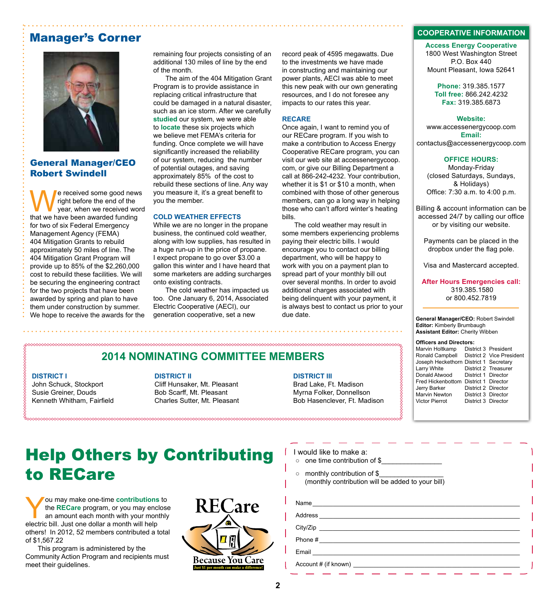# Manager's Corner



# General Manager/CEO Robert Swindell

We received some good news<br>
year, when we received word<br>
that we have been awarded funding right before the end of the year, when we received word that we have been awarded funding for two of six Federal Emergency Management Agency (FEMA) 404 Mitigation Grants to rebuild approximately 50 miles of line. The 404 Mitigation Grant Program will provide up to 85% of the \$2,260,000 cost to rebuild these facilities. We will be securing the engineering contract for the two projects that have been awarded by spring and plan to have them under construction by summer. We hope to receive the awards for the

remaining four projects consisting of an additional 130 miles of line by the end of the month.

The aim of the 404 Mitigation Grant Program is to provide assistance in replacing critical infrastructure that could be damaged in a natural disaster, such as an ice storm. After we carefully **studied** our system, we were able to **locate** these six projects which we believe met FEMA's criteria for funding. Once complete we will have significantly increased the reliability of our system, reducing the number of potential outages, and saving approximately 85% of the cost to rebuild these sections of line. Any way you measure it, it's a great benefit to you the member.

#### **COLD WEATHER EFFECTS**

While we are no longer in the propane business, the continued cold weather, along with low supplies, has resulted in a huge run-up in the price of propane. I expect propane to go over \$3.00 a gallon this winter and I have heard that some marketers are adding surcharges onto existing contracts.

The cold weather has impacted us too. One January 6, 2014, Associated Electric Cooperative (AECI), our generation cooperative, set a new

record peak of 4595 megawatts. Due to the investments we have made in constructing and maintaining our power plants, AECI was able to meet this new peak with our own generating resources, and I do not foresee any impacts to our rates this year.

#### **RECARE**

Once again, I want to remind you of our RECare program. If you wish to make a contribution to Access Energy Cooperative RECare program, you can visit our web site at accessenergycoop. com, or give our Billing Department a call at 866-242-4232. Your contribution, whether it is \$1 or \$10 a month, when combined with those of other generous members, can go a long way in helping those who can't afford winter's heating bills.

The cold weather may result in some members experiencing problems paying their electric bills. I would encourage you to contact our billing department, who will be happy to work with you on a payment plan to spread part of your monthly bill out over several months. In order to avoid additional charges associated with being delinquent with your payment, it is always best to contact us prior to your due date.

# **2014 NOMINATING COMMITTEE MEMBERS**

### **DISTRICT I**

John Schuck, Stockport Susie Greiner, Douds Kenneth Whitham, Fairfield

#### **DISTRICT II**

Cliff Hunsaker, Mt. Pleasant Bob Scarff, Mt. Pleasant Charles Sutter, Mt. Pleasant

#### **DISTRICT III**

Brad Lake, Ft. Madison Myrna Folker, Donnellson Bob Hasenclever, Ft. Madison

### **COOPERATIVE INFORMATION**

**Access Energy Cooperative** 1800 West Washington Street P.O. Box 440 Mount Pleasant, Iowa 52641

> **Phone:** 319.385.1577 **Toll free:** 866.242.4232 **Fax:** 319.385.6873

#### **Website:**

www.accessenergycoop.com **Email:** contactus@accessenergycoop.com

#### **OFFICE HOURS:**

Monday-Friday (closed Saturdays, Sundays, & Holidays) Office: 7:30 a.m. to 4:00 p.m.

Billing & account information can be accessed 24/7 by calling our office or by visiting our website.

Payments can be placed in the dropbox under the flag pole.

Visa and Mastercard accepted.

**After Hours Emergencies call:** 319.385.1580 or 800.452.7819

**General Manager/CEO:** Robert Swindell **Editor:** Kimberly Brumbaugh **Assistant Editor:** Cherity Wibben

#### **Officers and Directors:**

| Marvin Holtkamp                        |                     | District 3 President      |
|----------------------------------------|---------------------|---------------------------|
| Ronald Campbell                        |                     | District 2 Vice President |
| Joseph Heckethorn District 1 Secretary |                     |                           |
| Larry White                            |                     | District 2 Treasurer      |
| Donald Atwood                          | District 1 Director |                           |
| Fred Hickenbottom                      | District 1 Director |                           |
| Jerry Barker                           | District 2 Director |                           |
| <b>Marvin Newton</b>                   | District 3 Director |                           |
| <b>Victor Pierrot</b>                  | District 3 Director |                           |

# Help Others by Contributing to RECare

You may make one-time **contributions** to<br>the **RECare** program, or you may enclose<br>an amount each month with your monthly<br>electric bill ..lust one dollar a month will help the **RECare** program, or you may enclose an amount each month with your monthly electric bill. Just one dollar a month will help others! In 2012, 52 members contributed a total of \$1,567.22

This program is administered by the Community Action Program and recipients must meet their guidelines.



### $\int$  I would like to make a:

- o one time contribution of \$
- monthly contribution of \$\_ (monthly contribution will be added to your bill)

| Name                                                                                                                             |  |
|----------------------------------------------------------------------------------------------------------------------------------|--|
|                                                                                                                                  |  |
|                                                                                                                                  |  |
| Phone #<br><u> 1989 - Andrea State Barbara, amerikan personal di personal dengan personal dengan personal dengan personal de</u> |  |
| Email                                                                                                                            |  |
|                                                                                                                                  |  |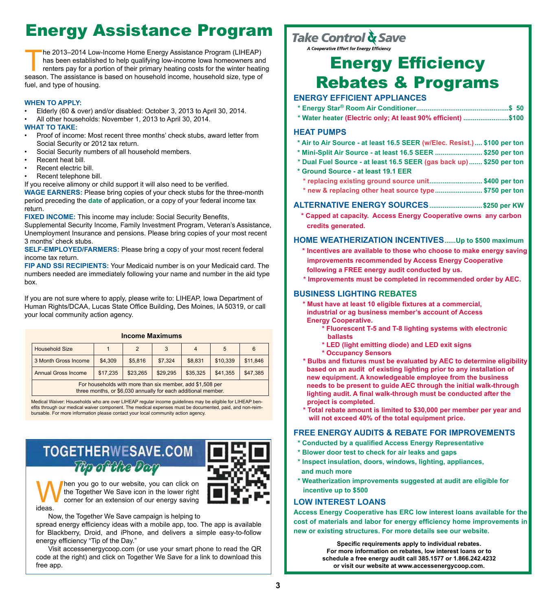# Energy Assistance Program

he 2013–2014 Low-Income Home Energy Assistance Program (LIHEAP) has been established to help qualifying low-income Iowa homeowners and renters pay for a portion of their primary heating costs for the winter heating season. The assistance is based on household income, household size, type of fuel, and type of housing.

### **WHEN TO APPLY:**

- Elderly (60 & over) and/or disabled: October 3, 2013 to April 30, 2014.
- All other households: November 1, 2013 to April 30, 2014.

### **WHAT TO TAKE:**

- Proof of income: Most recent three months' check stubs, award letter from Social Security or 2012 tax return.
- Social Security numbers of all household members.
- Recent heat bill.
- Recent electric bill.
- Recent telephone bill.

If you receive alimony or child support it will also need to be verified. **WAGE EARNERS:** Please bring copies of your check stubs for the three-month period preceding the **date** of application, or a copy of your federal income tax return.

**FIXED INCOME:** This income may include: Social Security Benefits,

Supplemental Security Income, Family Investment Program, Veteran's Assistance, Unemployment Insurance and pensions. Please bring copies of your most recent 3 months' check stubs.

**SELF-EMPLOYED/FARMERS:** Please bring a copy of your most recent federal income tax return.

**FIP AND SSI RECIPIENTS:** Your Medicaid number is on your Medicaid card. The numbers needed are immediately following your name and number in the aid type box.

If you are not sure where to apply, please write to: LIHEAP, Iowa Department of Human Rights/DCAA, Lucas State Office Building, Des Moines, IA 50319, or call your local community action agency.

| <b>Income Maximums</b>                                                                                                     |          |          |          |                |          |          |  |  |
|----------------------------------------------------------------------------------------------------------------------------|----------|----------|----------|----------------|----------|----------|--|--|
| <b>Household Size</b>                                                                                                      |          | 2        | 3        | $\overline{4}$ | 5        | 6        |  |  |
| 3 Month Gross Income                                                                                                       | \$4.309  | \$5,816  | \$7,324  | \$8,831        | \$10,339 | \$11,846 |  |  |
| <b>Annual Gross Income</b>                                                                                                 | \$17,235 | \$23,265 | \$29,295 | \$35,325       | \$41,355 | \$47,385 |  |  |
| For households with more than six member, add \$1,508 per<br>three months, or \$6,030 annually for each additional member. |          |          |          |                |          |          |  |  |

Medical Waiver: Households who are over LIHEAP regular income guidelines may be eligible for LIHEAP benefits through our medical waiver component. The medical expenses must be documented, paid, and non-reimbursable. For more information please contact your local community action agency.

# **TOGETHERWESAVE.COM** To of the Dom



hen you go to our website, you can click on the Together We Save icon in the lower right corner for an extension of our energy saving ideas.

Now, the Together We Save campaign is helping to

spread energy efficiency ideas with a mobile app, too. The app is available for Blackberry, Droid, and iPhone, and delivers a simple easy-to-follow energy efficiency "Tip of the Day."

Visit accessenergycoop.com (or use your smart phone to read the QR code at the right) and click on Together We Save for a link to download this free app.

# Take Control & Save

A Cooperative Effort for Energy Efficiency

# Energy Efficiency Rebates & Programs

# **ENERGY EFFICIENT APPLIANCES**

- **\* Energy Star® Room Air Conditioner.................................................\$ 50**
- **\* Water heater (Electric only; At least 90% efficient) ........................\$100**

## **HEAT PUMPS**

- **\* Air to Air Source at least 16.5 SEER (w/Elec. Resist.).... \$100 per ton**
- **\* Mini-Split Air Source at least 16.5 SEER ......................... \$250 per ton**
- **\* Dual Fuel Source at least 16.5 SEER (gas back up)....... \$250 per ton**
- **\* Ground Source at least 19.1 EER**
- **\* replacing existing ground source unit............................ \$400 per ton**
- **\* new & replacing other heat source type......................... \$750 per ton**

## **ALTERNATIVE ENERGY SOURCES............................\$250 per KW**

 **\* Capped at capacity. Access Energy Cooperative owns any carbon credits generated.**

## **HOME WEATHERIZATION INCENTIVES......Up to \$500 maximum**

- **\* Incentives are available to those who choose to make energy saving improvements recommended by Access Energy Cooperative following a FREE energy audit conducted by us.**
- **\* Improvements must be completed in recommended order by AEC.**

## **BUSINESS LIGHTING REBATES**

- **\* Must have at least 10 eligible fixtures at a commercial, industrial or ag business member's account of Access Energy Cooperative.**
	- **\* Fluorescent T-5 and T-8 lighting systems with electronic ballasts**
	- **\* LED (light emitting diode) and LED exit signs**
	- **\* Occupancy Sensors**
- **\* Bulbs and fixtures must be evaluated by AEC to determine eligibility based on an audit of existing lighting prior to any installation of new equipment. A knowledgeable employee from the business needs to be present to guide AEC through the initial walk-through lighting audit. A final walk-through must be conducted after the project is completed.**
- **\* Total rebate amount is limited to \$30,000 per member per year and will not exceed 40% of the total equipment price.**

## **FREE ENERGY AUDITS & REBATE FOR IMPROVEMENTS**

- **\* Conducted by a qualified Access Energy Representative**
- **\* Blower door test to check for air leaks and gaps**
- **\* Inspect insulation, doors, windows, lighting, appliances, and much more**
- **\* Weatherization improvements suggested at audit are eligible for incentive up to \$500**

## **LOW INTEREST LOANS**

**Access Energy Cooperative has ERC low interest loans available for the cost of materials and labor for energy efficiency home improvements in new or existing structures. For more details see our website.**

> **Specific requirements apply to individual rebates. For more information on rebates, low interest loans or to schedule a free energy audit call 385.1577 or 1.866.242.4232 or visit our website at www.accessenergycoop.com.**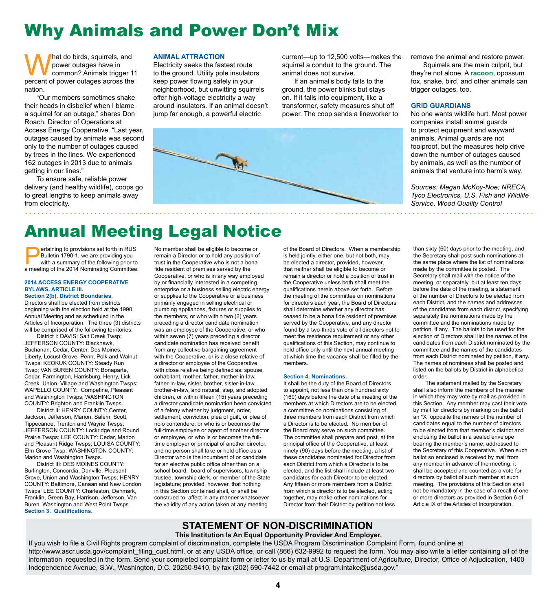# Why Animals and Power Don't Mix

What do birds, squirrels, and<br>percent of power outages have in<br>percent of power outages across the power outages have in common? Animals trigger 11 nation.

"Our members sometimes shake their heads in disbelief when I blame a squirrel for an outage," shares Don Roach, Director of Operations at Access Energy Cooperative. "Last year, outages caused by animals was second only to the number of outages caused by trees in the lines. We experienced 162 outages in 2013 due to animals getting in our lines."

To ensure safe, reliable power delivery (and healthy wildlife), coops go to great lengths to keep animals away from electricity.

#### **ANIMAL ATTRACTION**

Electricity seeks the fastest route to the ground. Utility pole insulators keep power flowing safely in your neighborhood, but unwitting squirrels offer high-voltage electricity a way around insulators. If an animal doesn't jump far enough, a powerful electric

current—up to 12,500 volts—makes the squirrel a conduit to the ground. The animal does not survive.

If an animal's body falls to the ground, the power blinks but stays on. If it falls into equipment, like a transformer, safety measures shut off power. The coop sends a lineworker to



remove the animal and restore power.

Squirrels are the main culprit, but they're not alone. A **racoon**, opossum fox, snake, bird, and other animals can trigger outages, too.

### **GRID GUARDIANS**

No one wants wildlife hurt. Most power companies install animal guards to protect equipment and wayward animals. Animal guards are not foolproof, but the measures help drive down the number of outages caused by animals, as well as the number of animals that venture into harm's way.

*Sources: Megan McKoy-Noe; NRECA, Tyco Electronics, U.S. Fish and Wildlife Service, Wood Quality Control* 

# Annual Meeting Legal Notice

ertaining to provisions set forth in RUS<br>
Bulletin 1790-1, we are providing you<br>
with a summary of the following prior to<br>
a meeting of the 2014 Nominating Committee Bulletin 1790-1, we are providing you a meeting of the 2014 Nominating Committee.

### **2014 ACCESS ENERGY COOPERATIVE BYLAWS. ARTICLE III.**

**Section 2(b). District Boundaries.** Directors shall be elected from districts beginning with the election held at the 1990 Annual Meeting and as scheduled in the Articles of Incorporation. The three (3) districts will be comprised of the following territories:

District I: DAVIS: Salt Creek Twsp; JEFFERSON COUNTY: Blackhawk, Buchanan, Cedar, Center, Des Moines, Liberty, Locust Grove, Penn, Polk and Walnut Twsps; KEOKUK COUNTY: Steady Run Twsp; VAN BUREN COUNTY: Bonaparte, Cedar, Farmington, Harrisburg, Henry, Lick Creek, Union, Village and Washington Twsps; WAPELLO COUNTY: Competine, Pleasant and Washington Twsps; WASHINGTON COUNTY: Brighton and Franklin Twsps.

District II: HENRY COUNTY: Center, Jackson, Jefferson, Marion, Salem, Scott, Tippecanoe, Trenton and Wayne Twsps; JEFFERSON COUNTY: Lockridge and Round Prairie Twsps; LEE COUNTY: Cedar, Marion and Pleasant Ridge Twsps; LOUISA COUNTY: Elm Grove Twsp; WASHINGTON COUNTY: Marion and Washington Twsps.

District III: DES MOINES COUNTY: Burlington, Concordia, Danville, Pleasant Grove, Union and Washington Twsps; HENRY COUNTY: Baltimore, Canaan and New London Twsps; LEE COUNTY: Charleston, Denmark, Franklin, Green Bay, Harrison, Jefferson, Van Buren, Washington and West Point Twsps. **Section 3. Qualifications.** 

No member shall be eligible to become or remain a Director or to hold any position of trust in the Cooperative who is not a bona fide resident of premises served by the Cooperative, or who is in any way employed by or financially interested in a competing enterprise or a business selling electric energy or supplies to the Cooperative or a business primarily engaged in selling electrical or plumbing appliances, fixtures or supplies to the members, or who within two (2) years preceding a director candidate nomination was an employee of the Cooperative, or who within seven (7) years preceding a director candidate nomination has received benefit from any collective bargaining agreement with the Cooperative, or is a close relative of a director or employee of the Cooperative, with close relative being defined as: spouse, cohabitant, mother, father, mother-in-law, father-in-law, sister, brother, sister-in-law, brother-in-law, and natural, step, and adopted children, or within fifteen (15) years preceding a director candidate nomination been convicted of a felony whether by judgment, order, settlement, conviction, plea of guilt, or plea of nolo contendere, or who is or becomes the full-time employee or agent of another director or employee, or who is or becomes the fulltime employer or principal of another director, and no person shall take or hold office as a Director who is the incumbent of or candidate for an elective public office other than on a school board, board of supervisors, township trustee, township clerk, or member of the State legislature; provided, however, that nothing in this Section contained shall, or shall be construed to, affect in any manner whatsoever the validity of any action taken at any meeting

of the Board of Directors. When a membership is held jointly, either one, but not both, may be elected a director, provided, however, that neither shall be eligible to become or remain a director or hold a position of trust in the Cooperative unless both shall meet the qualifications herein above set forth. Before the meeting of the committee on nominations for directors each year, the Board of Directors shall determine whether any director has ceased to be a bona fide resident of premises served by the Cooperative, and any director found by a two-thirds vote of all directors not to meet the residence requirement or any other qualifications of this Section, may continue to hold office only until the next annual meeting at which time the vacancy shall be filled by the members.

#### **Section 4. Nominations.**

It shall be the duty of the Board of Directors to appoint, not less than one hundred sixty (160) days before the date of a meeting of the members at which Directors are to be elected, a committee on nominations consisting of three members from each District from which a Director is to be elected. No member of the Board may serve on such committee. The committee shall prepare and post, at the principal office of the Cooperative, at least ninety (90) days before the meeting, a list of these candidates nominated for Director from each District from which a Director is to be elected, and the list shall include at least two candidates for each Director to be elected. Any fifteen or more members from a District from which a director is to be elected, acting together, may make other nominations for Director from their District by petition not less

than sixty (60) days prior to the meeting, and the Secretary shall post such nominations at the same place where the list of nominations made by the committee is posted. The Secretary shall mail with the notice of the meeting, or separately, but at least ten days before the date of the meeting, a statement of the number of Directors to be elected from each District, and the names and addresses of the candidates from each district, specifying separately the nominations made by the committee and the nominations made by petition, if any. The ballots to be used for the election of Directors shall list the names of the candidates from each District nominated by the committee and the names of the candidates from each District nominated by petition, if any. The names of nominees shall be posted and listed on the ballots by District in alphabetical order.

The statement mailed by the Secretary shall also inform the members of the manner in which they may vote by mail as provided in this Section. Any member may cast their vote by mail for directors by marking on the ballot an "X" opposite the names of the number of candidates equal to the number of directors to be elected from that member's district and enclosing the ballot in a sealed envelope bearing the member's name, addressed to the Secretary of this Cooperative. When such ballot so enclosed is received by mail from any member in advance of the meeting, it shall be accepted and counted as a vote for directors by ballot of such member at such meeting. The provisions of this Section shall not be mandatory in the case of a recall of one or more directors as provided in Section 6 of Article IX of the Articles of Incorporation.

# **STATEMENT OF NON-DISCRIMINATION**

## **This Institution Is An Equal Opportunity Provider And Employer.**

If you wish to file a Civil Rights program complaint of discrimination, complete the USDA Program Discrimination Complaint Form, found online at http://www.ascr.usda.gov/complaint\_filing\_cust.html, or at any USDA office, or call (866) 632-9992 to request the form. You may also write a letter containing all of the information requested in the form. Send your completed complaint form or letter to us by mail at U.S. Department of Agriculture, Director, Office of Adjudication, 1400 Independence Avenue, S.W., Washington, D.C. 20250-9410, by fax (202) 690-7442 or email at program.intake@usda.gov."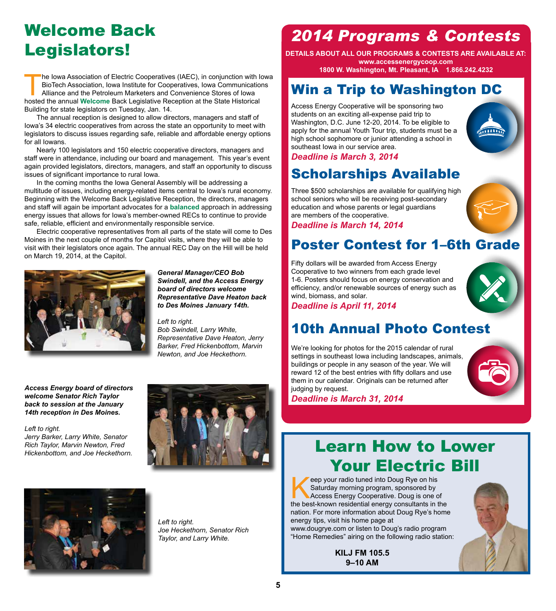# Welcome Back Legislators!

The Iowa Association of Electric Cooperatives (IAEC), in conjunction with Iowa<br>BioTech Association, Iowa Institute for Cooperatives, Iowa Communications<br>Alliance and the Petroleum Marketers and Convenience Stores of Iowa<br>h BioTech Association, Iowa Institute for Cooperatives, Iowa Communications Alliance and the Petroleum Marketers and Convenience Stores of Iowa hosted the annual **Welcome** Back Legislative Reception at the State Historical Building for state legislators on Tuesday, Jan. 14.

The annual reception is designed to allow directors, managers and staff of Iowa's 34 electric cooperatives from across the state an opportunity to meet with legislators to discuss issues regarding safe, reliable and affordable energy options for all Iowans.

Nearly 100 legislators and 150 electric cooperative directors, managers and staff were in attendance, including our board and management. This year's event again provided legislators, directors, managers, and staff an opportunity to discuss issues of significant importance to rural Iowa.

In the coming months the Iowa General Assembly will be addressing a multitude of issues, including energy-related items central to Iowa's rural economy. Beginning with the Welcome Back Legislative Reception, the directors, managers and staff will again be important advocates for a **balanced** approach in addressing energy issues that allows for Iowa's member-owned RECs to continue to provide safe, reliable, efficient and environmentally responsible service.

Electric cooperative representatives from all parts of the state will come to Des Moines in the next couple of months for Capitol visits, where they will be able to visit with their legislators once again. The annual REC Day on the Hill will be held on March 19, 2014, at the Capitol.



*General Manager/CEO Bob Swindell, and the Access Energy board of directors welcome Representative Dave Heaton back to Des Moines January 14th.*

*Left to right. Bob Swindell, Larry White, Representative Dave Heaton, Jerry Barker, Fred Hickenbottom, Marvin Newton, and Joe Heckethorn.*

*Access Energy board of directors welcome Senator Rich Taylor back to session at the January 14th reception in Des Moines.*

*Left to right.* 

*Jerry Barker, Larry White, Senator Rich Taylor, Marvin Newton, Fred Hickenbottom, and Joe Heckethorn.*





*Left to right. Joe Heckethorn, Senator Rich Taylor, and Larry White.*

# *2014 Programs & Contests*

**DETAILS ABOUT ALL OUR PROGRAMS & CONTESTS ARE AVAILABLE AT: www.accessenergycoop.com 1800 W. Washington, Mt. Pleasant, IA 1.866.242.4232**

# Win a Trip to Washington DC

Access Energy Cooperative will be sponsoring two students on an exciting all-expense paid trip to Washington, D.C. June 12-20, 2014. To be eligible to apply for the annual Youth Tour trip, students must be a high school sophomore or junior attending a school in southeast Iowa in our service area.



*Deadline is March 3, 2014*

# Scholarships Available

Three \$500 scholarships are available for qualifying high school seniors who will be receiving post-secondary education and whose parents or legal guardians are members of the cooperative.

*Deadline is March 14, 2014*

# Poster Contest for 1–6th Grade

Fifty dollars will be awarded from Access Energy Cooperative to two winners from each grade level 1-6. Posters should focus on energy conservation and efficiency, and/or renewable sources of energy such as wind, biomass, and solar.



*Deadline is April 11, 2014*

# 10th Annual Photo Contest

We're looking for photos for the 2015 calendar of rural settings in southeast Iowa including landscapes, animals, buildings or people in any season of the year. We will reward 12 of the best entries with fifty dollars and use them in our calendar. Originals can be returned after judging by request.



# Learn How to Lower Your Electric Bill

Feep your radio tuned into Doug Rye on his<br>Saturday morning program, sponsored by<br>Access Energy Cooperative. Doug is one of<br>the best-known residential energy consultants in t Saturday morning program, sponsored by Access Energy Cooperative. Doug is one of the best-known residential energy consultants in the nation. For more information about Doug Rye's home energy tips, visit his home page at

www.dougrye.com or listen to Doug's radio program "Home Remedies" airing on the following radio station:

> **KILJ FM 105.5 9–10 AM**

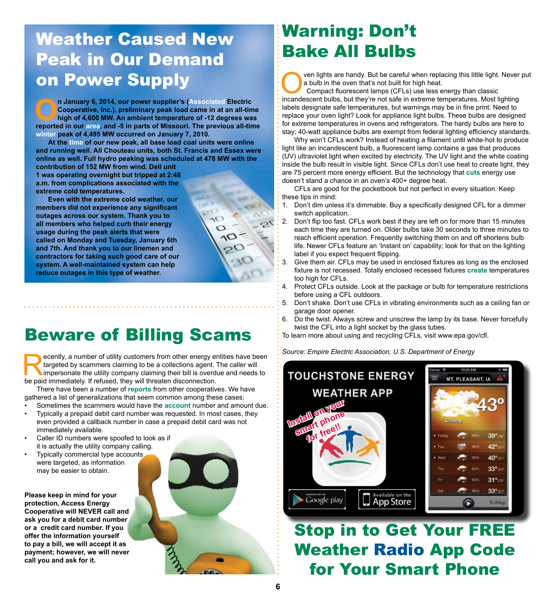# Weather Caused New Peak in Our Demand on Power Supply

**On January 6, 2014, our power supplier's (Associated Electric Cooperative, Inc.), preliminary peak load came in at an all-time high of 4,600 MW. An ambient temperature of -12 degrees was reported in our area, and -5 in pa Cooperative, Inc.), preliminary peak load came in at an all-time high of 4,600 MW. An ambient temperature of -12 degrees was reported in our area, and -5 in parts of Missouri. The previous all-time winter peak of 4,495 MW occurred on January 7, 2010.** 

**At the time of our new peak, all base load coal units were online and running well. All Chouteau units, both St. Francis and Essex were online as well. Full hydro peaking was scheduled at 478 MW with the contribution of 152 MW from wind. Dell unit** 

**1 was operating overnight but tripped at 2:48 a.m. from complications associated with the extreme cold temperatures.** 

**Even with the extreme cold weather, our members did not experience any significant outages across our system. Thank you to all members who helped curb their energy usage during the peak alerts that were called on Monday and Tuesday, January 6th and 7th. And thank you to our linemen and contractors for taking such good care of our system. A well-maintained system can help reduce outages in this type of weather.**

# Beware of Billing Scams

**Example 2018 CONSTONE ENERGY**<br> **Source: Empire Electric Association, U.S. Department of Energy**<br>
Interested by scammers claiming to be a collections agent. The caller will<br>
impersonate the utility company claiming their b targeted by scammers claiming to be a collections agent. The caller will impersonate the utility company claiming their bill is overdue and needs to be paid immediately. If refused, they will threaten disconnection.

There have been a number of **reports** from other cooperatives. We have gathered a list of generalizations that seem common among these cases:

- Sometimes the scammers would have the **account** number and amount due.
- Typically a prepaid debit card number was requested. In most cases, they even provided a callback number in case a prepaid debit card was not immediately available.
- Caller ID numbers were spoofed to look as if it is actually the utility company calling.
- Typically commercial type accounts were targeted, as information may be easier to obtain.

**Please keep in mind for your protection, Access Energy Cooperative will NEVER call and ask you for a debit card number or a credit card number. If you offer the information yourself to pay a bill, we will accept it as payment; however, we will never call you and ask for it.**



# Warning: Don't Bake All Bulbs

ven lights are handy. But be careful when replacing this little light. Never put a bulb in the oven that's not built for high heat.

Compact fluorescent lamps (CFLs) use less energy than classic incandescent bulbs, but they're not safe in extreme temperatures. Most lighting labels designate safe temperatures, but warnings may be in fine print. Need to replace your oven light? Look for appliance light bulbs. These bulbs are designed for extreme temperatures in ovens and refrigerators. The hardy bulbs are here to stay; 40-watt appliance bulbs are exempt from federal lighting efficiency standards.

Why won't CFLs work? Instead of heating a filament until white-hot to produce light like an incandescent bulb, a fluorescent lamp contains a gas that produces (UV) ultraviolet light when excited by electricity. The UV light and the white coating inside the bulb result in visible light. Since CFLs don't use heat to create light, they are 75 percent more energy efficient. But the technology that **cuts** energy use doesn't stand a chance in an oven's 400+ degree heat.

CFLs are good for the pocketbook but not perfect in every situation. Keep these tips in mind:

- 1. Don't dim unless it's dimmable. Buy a specifically designed CFL for a dimmer switch application.
- 2. Don't flip too fast. CFLs work best if they are left on for more than 15 minutes each time they are turned on. Older bulbs take 30 seconds to three minutes to reach efficient operation. Frequently switching them on and off shortens bulb life. Newer CFLs feature an 'Instant on' capability; look for that on the lighting label if you expect frequent flipping.
- 3. Give them air. CFLs may be used in enclosed fixtures as long as the enclosed fixture is not recessed. Totally enclosed recessed fixtures **create** temperatures too high for CFLs.
- 4. Protect CFLs outside. Look at the package or bulb for temperature restrictions before using a CFL outdoors.
- 5. Don't shake. Don't use CFLs in vibrating environments such as a ceiling fan or garage door opener.
- 6. Do the twist. Always screw and unscrew the lamp by its base. Never forcefully twist the CFL into a light socket by the glass tubes.
- To learn more about using and recycling CFLs, visit www.epa.gov/cfl.



Stop in to Get Your FREE Weather Radio App Code for Your Smart Phone



 $\sim$  $\circ$  $\Omega$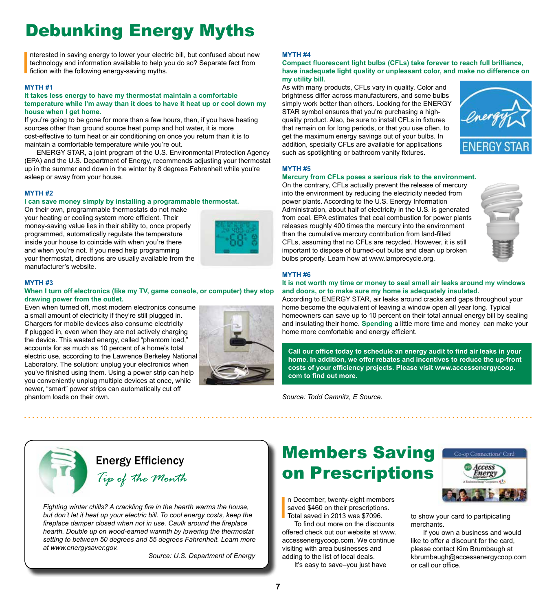# Debunking Energy Myths

I nterested in saving energy to lower your electric bill, but confused about new technology and information available to help you do so? Separate fact from fiction with the following energy-saving myths.

### **MYTH #1**

### **It takes less energy to have my thermostat maintain a comfortable temperature while I'm away than it does to have it heat up or cool down my house when I get home.**

If you're going to be gone for more than a few hours, then, if you have heating sources other than ground source heat pump and hot water, it is more cost-effective to turn heat or air conditioning on once you return than it is to maintain a comfortable temperature while you're out.

ENERGY STAR, a joint program of the U.S. Environmental Protection Agency (EPA) and the U.S. Department of Energy, recommends adjusting your thermostat up in the summer and down in the winter by 8 degrees Fahrenheit while you're asleep or away from your house.

### **MYTH #2**

### **I can save money simply by installing a programmable thermostat.**

On their own, programmable thermostats do not make your heating or cooling system more efficient. Their money-saving value lies in their ability to, once properly programmed, automatically regulate the temperature inside your house to coincide with when you're there and when you're not. If you need help programming your thermostat, directions are usually available from the manufacturer's website.



### **MYTH #3**

### **When I turn off electronics (like my TV, game console, or computer) they stop drawing power from the outlet.**

Even when turned off, most modern electronics consume a small amount of electricity if they're still plugged in. Chargers for mobile devices also consume electricity if plugged in, even when they are not actively charging the device. This wasted energy, called "phantom load," accounts for as much as 10 percent of a home's total electric use, according to the Lawrence Berkeley National Laboratory. The solution: unplug your electronics when you've finished using them. Using a power strip can help you conveniently unplug multiple devices at once, while newer, "smart" power strips can automatically cut off phantom loads on their own.



### **MYTH #4**

#### **Compact fluorescent light bulbs (CFLs) take forever to reach full brilliance, have inadequate light quality or unpleasant color, and make no difference on my utility bill.**

As with many products, CFLs vary in quality. Color and brightness differ across manufacturers, and some bulbs simply work better than others. Looking for the ENERGY STAR symbol ensures that you're purchasing a highquality product. Also, be sure to install CFLs in fixtures that remain on for long periods, or that you use often, to get the maximum energy savings out of your bulbs. In addition, specialty CFLs are available for applications such as spotlighting or bathroom vanity fixtures.



### **MYTH #5**

### **Mercury from CFLs poses a serious risk to the environment.**

On the contrary, CFLs actually prevent the release of mercury into the environment by reducing the electricity needed from power plants. According to the U.S. Energy Information Administration, about half of electricity in the U.S. is generated from coal. EPA estimates that coal combustion for power plants releases roughly 400 times the mercury into the environment than the cumulative mercury contribution from land-filled CFLs, assuming that no CFLs are recycled. However, it is still important to dispose of burned-out bulbs and clean up broken bulbs properly. Learn how at www.lamprecycle.org.



### **MYTH #6**

### **It is not worth my time or money to seal small air leaks around my windows and doors, or to make sure my home is adequately insulated.**

According to ENERGY STAR, air leaks around cracks and gaps throughout your home become the equivalent of leaving a window open all year long. Typical homeowners can save up to 10 percent on their total annual energy bill by sealing and insulating their home. **Spending** a little more time and money can make your home more comfortable and energy efficient.

**Call our office today to schedule an energy audit to find air leaks in your home. In addition, we offer rebates and incentives to reduce the up-front costs of your efficiency projects. Please visit www.accessenergycoop. com to find out more.**

*Source: Todd Camnitz, E Source.*



# *Tip of the Month* Energy Efficiency

*Fighting winter chills? A crackling fire in the hearth warms the house, but don't let it heat up your electric bill. To cool energy costs, keep the fireplace damper closed when not in use. Caulk around the fireplace hearth. Double up on wood-earned warmth by lowering the thermostat setting to between 50 degrees and 55 degrees Fahrenheit. Learn more at www.energysaver.gov.* 

 *Source: U.S. Department of Energy* 

# Members Saving on Prescriptions

I n December, twenty-eight members saved \$460 on their prescriptions. Total saved in 2013 was \$7096.

To find out more on the discounts offered check out our website at www. accessenergycoop.com. We continue visiting with area businesses and adding to the list of local deals.

It's easy to save–you just have



to show your card to partipicating merchants.

If you own a business and would like to offer a discount for the card, please contact Kim Brumbaugh at kbrumbaugh@accessenergycoop.com or call our office.